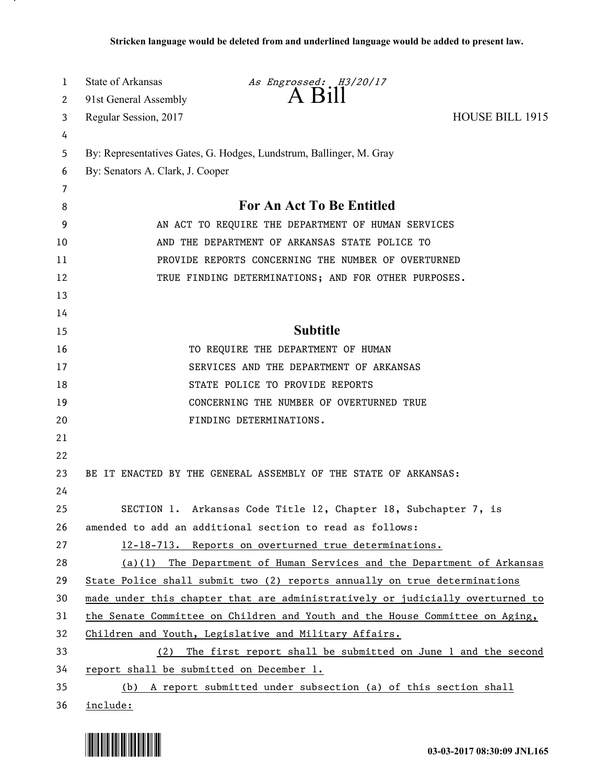| 1        | State of Arkansas                                                                                           | As Engrossed: H3/20/17                                                        |                        |
|----------|-------------------------------------------------------------------------------------------------------------|-------------------------------------------------------------------------------|------------------------|
| 2        | 91st General Assembly                                                                                       | $A$ $B11$                                                                     |                        |
| 3        | Regular Session, 2017                                                                                       |                                                                               | <b>HOUSE BILL 1915</b> |
| 4        |                                                                                                             |                                                                               |                        |
| 5        | By: Representatives Gates, G. Hodges, Lundstrum, Ballinger, M. Gray                                         |                                                                               |                        |
| 6        | By: Senators A. Clark, J. Cooper                                                                            |                                                                               |                        |
| 7        |                                                                                                             | <b>For An Act To Be Entitled</b>                                              |                        |
| 8        |                                                                                                             |                                                                               |                        |
| 9        | AN ACT TO REQUIRE THE DEPARTMENT OF HUMAN SERVICES<br>AND THE DEPARTMENT OF ARKANSAS STATE POLICE TO        |                                                                               |                        |
| 10       |                                                                                                             |                                                                               |                        |
| 11       | PROVIDE REPORTS CONCERNING THE NUMBER OF OVERTURNED<br>TRUE FINDING DETERMINATIONS; AND FOR OTHER PURPOSES. |                                                                               |                        |
| 12       |                                                                                                             |                                                                               |                        |
| 13<br>14 |                                                                                                             |                                                                               |                        |
| 15       |                                                                                                             | <b>Subtitle</b>                                                               |                        |
| 16       |                                                                                                             | TO REQUIRE THE DEPARTMENT OF HUMAN                                            |                        |
| 17       |                                                                                                             | SERVICES AND THE DEPARTMENT OF ARKANSAS                                       |                        |
| 18       |                                                                                                             | STATE POLICE TO PROVIDE REPORTS                                               |                        |
| 19       |                                                                                                             | CONCERNING THE NUMBER OF OVERTURNED TRUE                                      |                        |
| 20       |                                                                                                             | FINDING DETERMINATIONS.                                                       |                        |
| 21       |                                                                                                             |                                                                               |                        |
| 22       |                                                                                                             |                                                                               |                        |
| 23       |                                                                                                             | BE IT ENACTED BY THE GENERAL ASSEMBLY OF THE STATE OF ARKANSAS:               |                        |
| 24       |                                                                                                             |                                                                               |                        |
| 25       |                                                                                                             | SECTION 1. Arkansas Code Title 12, Chapter 18, Subchapter 7, is               |                        |
| 26       |                                                                                                             | amended to add an additional section to read as follows:                      |                        |
| 27       |                                                                                                             | 12-18-713. Reports on overturned true determinations.                         |                        |
| 28       |                                                                                                             | (a)(1) The Department of Human Services and the Department of Arkansas        |                        |
| 29       |                                                                                                             | State Police shall submit two (2) reports annually on true determinations     |                        |
| 30       |                                                                                                             | made under this chapter that are administratively or judicially overturned to |                        |
| 31       |                                                                                                             | the Senate Committee on Children and Youth and the House Committee on Aging,  |                        |
| 32       | Children and Youth, Legislative and Military Affairs.                                                       |                                                                               |                        |
| 33       | The first report shall be submitted on June 1 and the second<br>(2)                                         |                                                                               |                        |
| 34       | report shall be submitted on December 1.                                                                    |                                                                               |                        |
| 35       |                                                                                                             | (b) A report submitted under subsection (a) of this section shall             |                        |
| 36       | include:                                                                                                    |                                                                               |                        |



.